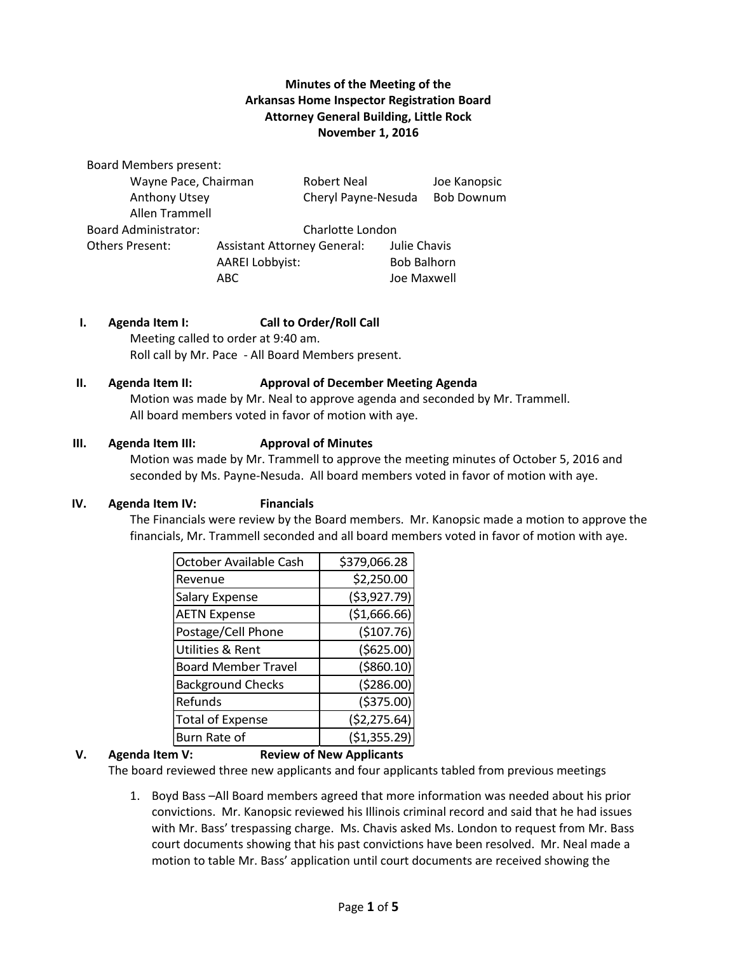## **Minutes of the Meeting of the Arkansas Home Inspector Registration Board Attorney General Building, Little Rock November 1, 2016**

Board Members present: Wayne Pace, Chairman Robert Neal Joe Kanopsic Anthony Utsey Cheryl Payne-Nesuda Bob Downum Allen Trammell Board Administrator: Charlotte London Others Present: Assistant Attorney General: Julie Chavis AAREI Lobbyist: Bob Balhorn ABC Joe Maxwell

### **I. Agenda Item I: Call to Order/Roll Call**

Meeting called to order at 9:40 am. Roll call by Mr. Pace - All Board Members present.

#### **II. Agenda Item II: Approval of December Meeting Agenda**

Motion was made by Mr. Neal to approve agenda and seconded by Mr. Trammell. All board members voted in favor of motion with aye.

#### **III. Agenda Item III: Approval of Minutes**

Motion was made by Mr. Trammell to approve the meeting minutes of October 5, 2016 and seconded by Ms. Payne-Nesuda. All board members voted in favor of motion with aye.

#### **IV. Agenda Item IV: Financials**

The Financials were review by the Board members. Mr. Kanopsic made a motion to approve the financials, Mr. Trammell seconded and all board members voted in favor of motion with aye.

| October Available Cash     | \$379,066.28  |  |  |
|----------------------------|---------------|--|--|
| Revenue                    | \$2,250.00    |  |  |
| Salary Expense             | ( \$3,927.79) |  |  |
| <b>AETN Expense</b>        | (\$1,666.66)  |  |  |
| Postage/Cell Phone         | (\$107.76)    |  |  |
| Utilities & Rent           | (5625.00)     |  |  |
| <b>Board Member Travel</b> | ( \$860.10)   |  |  |
| <b>Background Checks</b>   | (5286.00)     |  |  |
| Refunds                    | ( \$375.00)   |  |  |
| <b>Total of Expense</b>    | (52, 275.64)  |  |  |
| Burn Rate of               | (\$1,355.29)  |  |  |

## **V. Agenda Item V: Review of New Applicants**

The board reviewed three new applicants and four applicants tabled from previous meetings

1. Boyd Bass –All Board members agreed that more information was needed about his prior convictions. Mr. Kanopsic reviewed his Illinois criminal record and said that he had issues with Mr. Bass' trespassing charge. Ms. Chavis asked Ms. London to request from Mr. Bass court documents showing that his past convictions have been resolved. Mr. Neal made a motion to table Mr. Bass' application until court documents are received showing the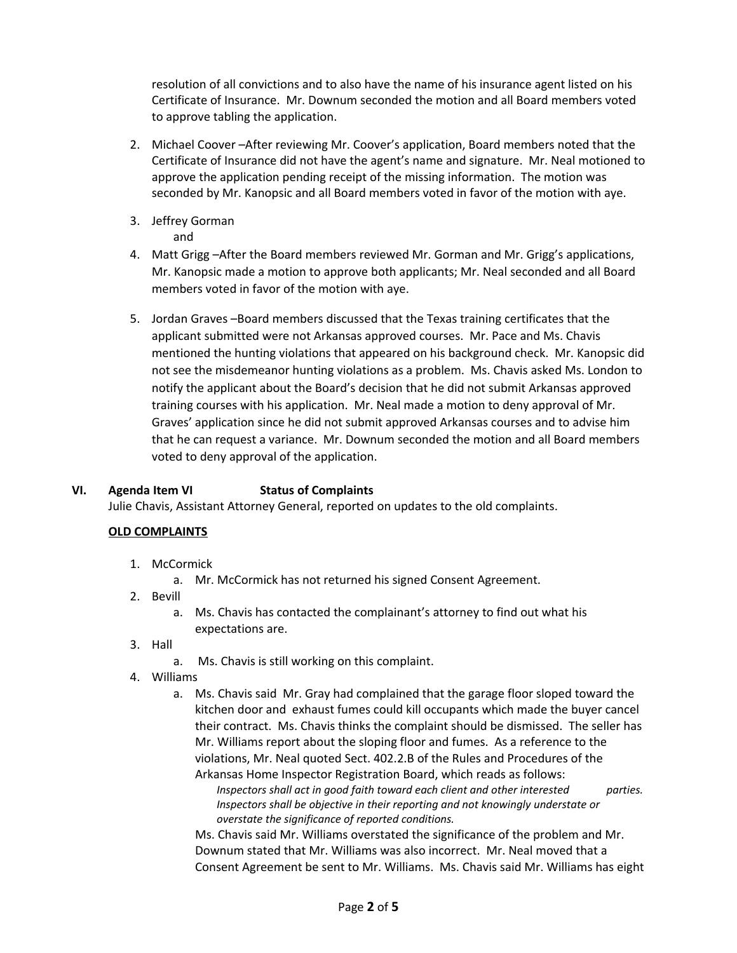resolution of all convictions and to also have the name of his insurance agent listed on his Certificate of Insurance. Mr. Downum seconded the motion and all Board members voted to approve tabling the application.

- 2. Michael Coover –After reviewing Mr. Coover's application, Board members noted that the Certificate of Insurance did not have the agent's name and signature. Mr. Neal motioned to approve the application pending receipt of the missing information. The motion was seconded by Mr. Kanopsic and all Board members voted in favor of the motion with aye.
- 3. Jeffrey Gorman
	- and
- 4. Matt Grigg –After the Board members reviewed Mr. Gorman and Mr. Grigg's applications, Mr. Kanopsic made a motion to approve both applicants; Mr. Neal seconded and all Board members voted in favor of the motion with aye.
- 5. Jordan Graves –Board members discussed that the Texas training certificates that the applicant submitted were not Arkansas approved courses. Mr. Pace and Ms. Chavis mentioned the hunting violations that appeared on his background check. Mr. Kanopsic did not see the misdemeanor hunting violations as a problem. Ms. Chavis asked Ms. London to notify the applicant about the Board's decision that he did not submit Arkansas approved training courses with his application. Mr. Neal made a motion to deny approval of Mr. Graves' application since he did not submit approved Arkansas courses and to advise him that he can request a variance. Mr. Downum seconded the motion and all Board members voted to deny approval of the application.

## **VI. Agenda Item VI Status of Complaints**

Julie Chavis, Assistant Attorney General, reported on updates to the old complaints.

## **OLD COMPLAINTS**

- 1. McCormick
	- a. Mr. McCormick has not returned his signed Consent Agreement.
- 2. Bevill
	- a. Ms. Chavis has contacted the complainant's attorney to find out what his expectations are.
- 3. Hall
	- a. Ms. Chavis is still working on this complaint.
- 4. Williams
	- a. Ms. Chavis said Mr. Gray had complained that the garage floor sloped toward the kitchen door and exhaust fumes could kill occupants which made the buyer cancel their contract. Ms. Chavis thinks the complaint should be dismissed. The seller has Mr. Williams report about the sloping floor and fumes. As a reference to the violations, Mr. Neal quoted Sect. 402.2.B of the Rules and Procedures of the Arkansas Home Inspector Registration Board, which reads as follows:

*Inspectors shall act in good faith toward each client and other interested parties. Inspectors shall be objective in their reporting and not knowingly understate or overstate the significance of reported conditions.* 

Ms. Chavis said Mr. Williams overstated the significance of the problem and Mr. Downum stated that Mr. Williams was also incorrect. Mr. Neal moved that a Consent Agreement be sent to Mr. Williams. Ms. Chavis said Mr. Williams has eight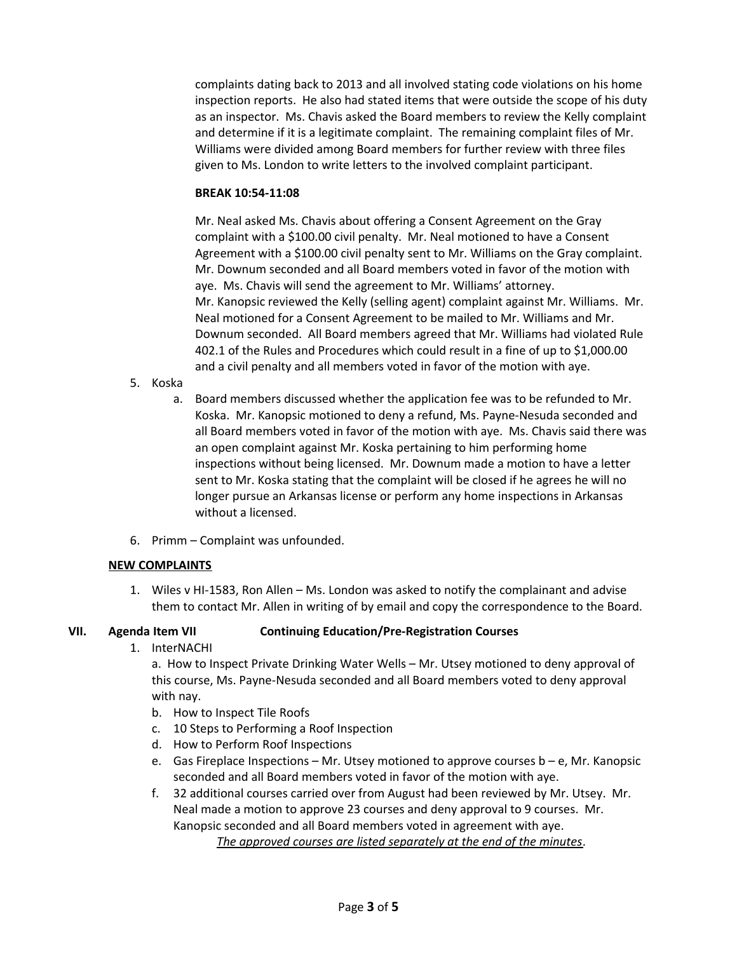complaints dating back to 2013 and all involved stating code violations on his home inspection reports. He also had stated items that were outside the scope of his duty as an inspector. Ms. Chavis asked the Board members to review the Kelly complaint and determine if it is a legitimate complaint. The remaining complaint files of Mr. Williams were divided among Board members for further review with three files given to Ms. London to write letters to the involved complaint participant.

#### **BREAK 10:54-11:08**

Mr. Neal asked Ms. Chavis about offering a Consent Agreement on the Gray complaint with a \$100.00 civil penalty. Mr. Neal motioned to have a Consent Agreement with a \$100.00 civil penalty sent to Mr. Williams on the Gray complaint. Mr. Downum seconded and all Board members voted in favor of the motion with aye. Ms. Chavis will send the agreement to Mr. Williams' attorney. Mr. Kanopsic reviewed the Kelly (selling agent) complaint against Mr. Williams. Mr. Neal motioned for a Consent Agreement to be mailed to Mr. Williams and Mr. Downum seconded. All Board members agreed that Mr. Williams had violated Rule 402.1 of the Rules and Procedures which could result in a fine of up to \$1,000.00 and a civil penalty and all members voted in favor of the motion with aye.

- 5. Koska
	- a. Board members discussed whether the application fee was to be refunded to Mr. Koska. Mr. Kanopsic motioned to deny a refund, Ms. Payne-Nesuda seconded and all Board members voted in favor of the motion with aye. Ms. Chavis said there was an open complaint against Mr. Koska pertaining to him performing home inspections without being licensed. Mr. Downum made a motion to have a letter sent to Mr. Koska stating that the complaint will be closed if he agrees he will no longer pursue an Arkansas license or perform any home inspections in Arkansas without a licensed.
- 6. Primm Complaint was unfounded.

### **NEW COMPLAINTS**

1. Wiles v HI-1583, Ron Allen – Ms. London was asked to notify the complainant and advise them to contact Mr. Allen in writing of by email and copy the correspondence to the Board.

### **VII. Agenda Item VII Continuing Education/Pre-Registration Courses**

1. InterNACHI

a. How to Inspect Private Drinking Water Wells – Mr. Utsey motioned to deny approval of this course, Ms. Payne-Nesuda seconded and all Board members voted to deny approval with nay.

- b. How to Inspect Tile Roofs
- c. 10 Steps to Performing a Roof Inspection
- d. How to Perform Roof Inspections
- e. Gas Fireplace Inspections  $-$  Mr. Utsey motioned to approve courses  $b e$ , Mr. Kanopsic seconded and all Board members voted in favor of the motion with aye.

f. 32 additional courses carried over from August had been reviewed by Mr. Utsey. Mr. Neal made a motion to approve 23 courses and deny approval to 9 courses. Mr. Kanopsic seconded and all Board members voted in agreement with aye.

*The approved courses are listed separately at the end of the minutes.*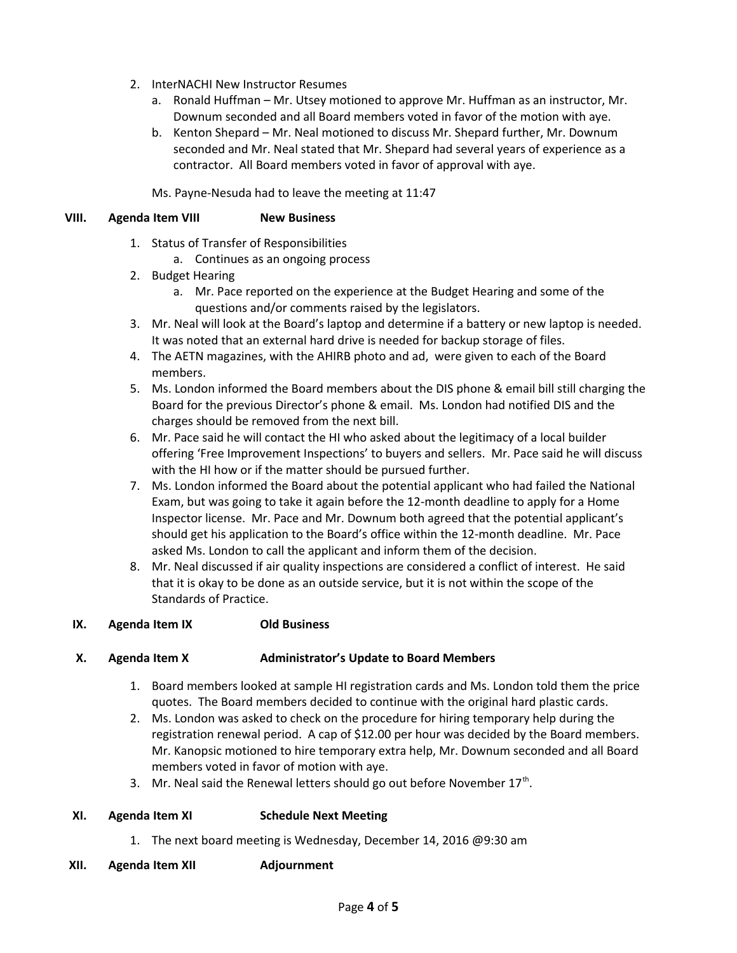- 2. InterNACHI New Instructor Resumes
	- a. Ronald Huffman Mr. Utsey motioned to approve Mr. Huffman as an instructor, Mr. Downum seconded and all Board members voted in favor of the motion with aye.
	- b. Kenton Shepard Mr. Neal motioned to discuss Mr. Shepard further, Mr. Downum seconded and Mr. Neal stated that Mr. Shepard had several years of experience as a contractor. All Board members voted in favor of approval with aye.

Ms. Payne-Nesuda had to leave the meeting at 11:47

## **VIII. Agenda Item VIII New Business**

- 1. Status of Transfer of Responsibilities
	- a. Continues as an ongoing process
- 2. Budget Hearing
	- a. Mr. Pace reported on the experience at the Budget Hearing and some of the questions and/or comments raised by the legislators.
- 3. Mr. Neal will look at the Board's laptop and determine if a battery or new laptop is needed. It was noted that an external hard drive is needed for backup storage of files.
- 4. The AETN magazines, with the AHIRB photo and ad, were given to each of the Board members.
- 5. Ms. London informed the Board members about the DIS phone & email bill still charging the Board for the previous Director's phone & email. Ms. London had notified DIS and the charges should be removed from the next bill.
- 6. Mr. Pace said he will contact the HI who asked about the legitimacy of a local builder offering 'Free Improvement Inspections' to buyers and sellers. Mr. Pace said he will discuss with the HI how or if the matter should be pursued further.
- 7. Ms. London informed the Board about the potential applicant who had failed the National Exam, but was going to take it again before the 12-month deadline to apply for a Home Inspector license. Mr. Pace and Mr. Downum both agreed that the potential applicant's should get his application to the Board's office within the 12-month deadline. Mr. Pace asked Ms. London to call the applicant and inform them of the decision.
- 8. Mr. Neal discussed if air quality inspections are considered a conflict of interest. He said that it is okay to be done as an outside service, but it is not within the scope of the Standards of Practice.

### **IX. Agenda Item IX Old Business**

### **X. Agenda Item X Administrator's Update to Board Members**

- 1. Board members looked at sample HI registration cards and Ms. London told them the price quotes. The Board members decided to continue with the original hard plastic cards.
- 2. Ms. London was asked to check on the procedure for hiring temporary help during the registration renewal period. A cap of \$12.00 per hour was decided by the Board members. Mr. Kanopsic motioned to hire temporary extra help, Mr. Downum seconded and all Board members voted in favor of motion with aye.
- 3. Mr. Neal said the Renewal letters should go out before November  $17<sup>th</sup>$ .

### **XI. Agenda Item XI Schedule Next Meeting**

- 1. The next board meeting is Wednesday, December 14, 2016 @9:30 am
- **XII. Agenda Item XII Adjournment**